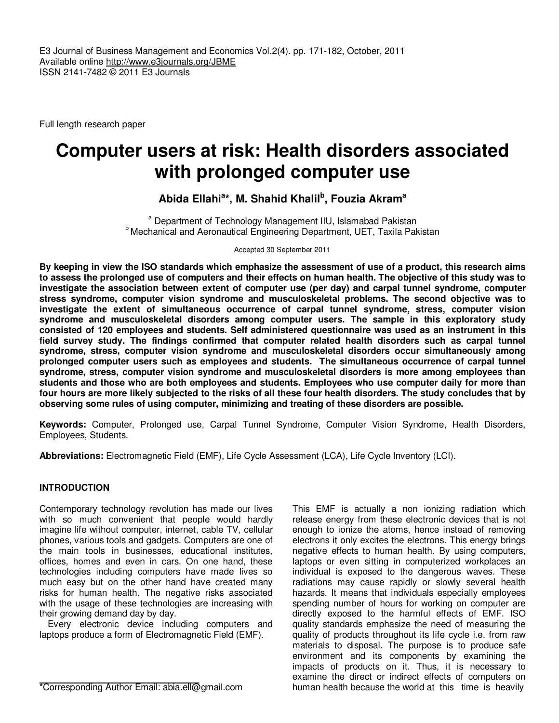Full length research paper

# **Computer users at risk: Health disorders associated with prolonged computer use**

# **Abida Ellahi<sup>a</sup> \*, M. Shahid Khalil<sup>b</sup> , Fouzia Akram<sup>a</sup>**

<sup>a</sup> Department of Technology Management IIU, Islamabad Pakistan **b** Mechanical and Aeronautical Engineering Department, UET, Taxila Pakistan

Accepted 30 September 2011

**By keeping in view the ISO standards which emphasize the assessment of use of a product, this research aims to assess the prolonged use of computers and their effects on human health. The objective of this study was to investigate the association between extent of computer use (per day) and carpal tunnel syndrome, computer stress syndrome, computer vision syndrome and musculoskeletal problems. The second objective was to investigate the extent of simultaneous occurrence of carpal tunnel syndrome, stress, computer vision syndrome and musculoskeletal disorders among computer users. The sample in this exploratory study consisted of 120 employees and students. Self administered questionnaire was used as an instrument in this field survey study. The findings confirmed that computer related health disorders such as carpal tunnel syndrome, stress, computer vision syndrome and musculoskeletal disorders occur simultaneously among prolonged computer users such as employees and students. The simultaneous occurrence of carpal tunnel syndrome, stress, computer vision syndrome and musculoskeletal disorders is more among employees than students and those who are both employees and students. Employees who use computer daily for more than four hours are more likely subjected to the risks of all these four health disorders. The study concludes that by observing some rules of using computer, minimizing and treating of these disorders are possible.** 

**Keywords:** Computer, Prolonged use, Carpal Tunnel Syndrome, Computer Vision Syndrome, Health Disorders, Employees, Students.

**Abbreviations:** Electromagnetic Field (EMF), Life Cycle Assessment (LCA), Life Cycle Inventory (LCI).

# **INTRODUCTION**

Contemporary technology revolution has made our lives with so much convenient that people would hardly imagine life without computer, internet, cable TV, cellular phones, various tools and gadgets. Computers are one of the main tools in businesses, educational institutes, offices, homes and even in cars. On one hand, these technologies including computers have made lives so much easy but on the other hand have created many risks for human health. The negative risks associated with the usage of these technologies are increasing with their growing demand day by day.

Every electronic device including computers and laptops produce a form of Electromagnetic Field (EMF).

\*Corresponding Author Email: abia.ell@gmail.com

This EMF is actually a non ionizing radiation which release energy from these electronic devices that is not enough to ionize the atoms, hence instead of removing electrons it only excites the electrons. This energy brings negative effects to human health. By using computers, laptops or even sitting in computerized workplaces an individual is exposed to the dangerous waves. These radiations may cause rapidly or slowly several health hazards. It means that individuals especially employees spending number of hours for working on computer are directly exposed to the harmful effects of EMF. ISO quality standards emphasize the need of measuring the quality of products throughout its life cycle i.e. from raw materials to disposal. The purpose is to produce safe environment and its components by examining the impacts of products on it. Thus, it is necessary to examine the direct or indirect effects of computers on human health because the world at this time is heavily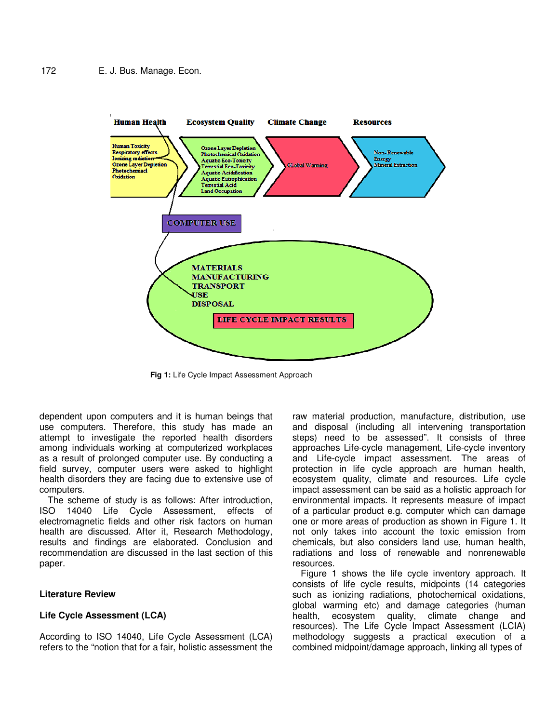

**Fig 1:** Life Cycle Impact Assessment Approach

dependent upon computers and it is human beings that use computers. Therefore, this study has made an attempt to investigate the reported health disorders among individuals working at computerized workplaces as a result of prolonged computer use. By conducting a field survey, computer users were asked to highlight health disorders they are facing due to extensive use of computers.

The scheme of study is as follows: After introduction, ISO 14040 Life Cycle Assessment, effects electromagnetic fields and other risk factors on human health are discussed. After it, Research Methodology, results and findings are elaborated. Conclusion and recommendation are discussed in the last section of this paper.

# **Literature Review**

# **Life Cycle Assessment (LCA)**

According to ISO 14040, Life Cycle Assessment (LCA) refers to the "notion that for a fair, holistic assessment the

raw material production, manufacture, distribution, use and disposal (including all intervening transportation steps) need to be assessed". It consists of three approaches Life-cycle management, Life-cycle inventory and Life-cycle impact assessment. The areas of protection in life cycle approach are human health, ecosystem quality, climate and resources. Life cycle impact assessment can be said as a holistic approach for environmental impacts. It represents measure of impact of a particular product e.g. computer which can damage one or more areas of production as shown in Figure 1. It not only takes into account the toxic emission from chemicals, but also considers land use, human health, radiations and loss of renewable and nonrenewable resources.

Figure 1 shows the life cycle inventory approach. It consists of life cycle results, midpoints (14 categories such as ionizing radiations, photochemical oxidations, global warming etc) and damage categories (human health, ecosystem quality, climate change and resources). The Life Cycle Impact Assessment (LCIA) methodology suggests a practical execution of a combined midpoint/damage approach, linking all types of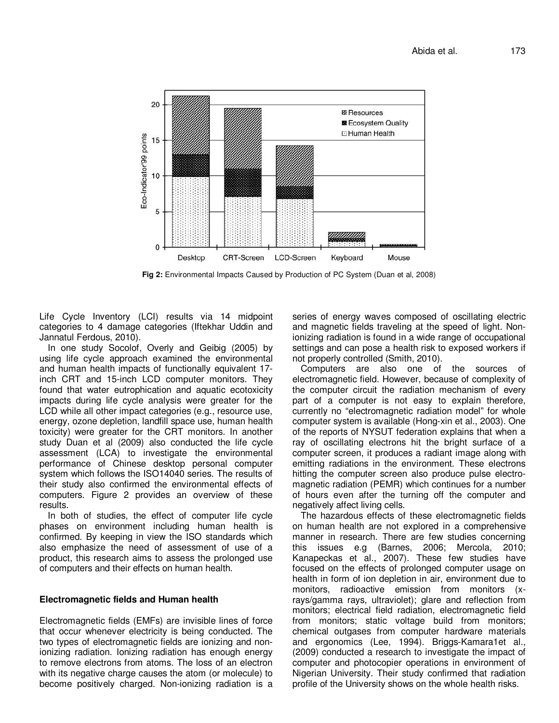

**Fig 2:** Environmental Impacts Caused by Production of PC System (Duan et al, 2008)

Life Cycle Inventory (LCI) results via 14 midpoint categories to 4 damage categories (Iftekhar Uddin and Jannatul Ferdous, 2010).

In one study Socolof, Overly and Geibig (2005) by using life cycle approach examined the environmental and human health impacts of functionally equivalent 17 inch CRT and 15-inch LCD computer monitors. They found that water eutrophication and aquatic ecotoxicity impacts during life cycle analysis were greater for the LCD while all other impact categories (e.g., resource use, energy, ozone depletion, landfill space use, human health toxicity) were greater for the CRT monitors. In another study Duan et al (2009) also conducted the life cycle assessment (LCA) to investigate the environmental performance of Chinese desktop personal computer system which follows the ISO14040 series. The results of their study also confirmed the environmental effects of computers. Figure 2 provides an overview of these results.

In both of studies, the effect of computer life cycle phases on environment including human health is confirmed. By keeping in view the ISO standards which also emphasize the need of assessment of use of a product, this research aims to assess the prolonged use of computers and their effects on human health.

#### **Electromagnetic fields and Human health**

Electromagnetic fields (EMFs) are invisible lines of force that occur whenever electricity is being conducted. The two types of electromagnetic fields are ionizing and nonionizing radiation. Ionizing radiation has enough energy to remove electrons from atoms. The loss of an electron with its negative charge causes the atom (or molecule) to become positively charged. Non-ionizing radiation is a series of energy waves composed of oscillating electric and magnetic fields traveling at the speed of light. Nonionizing radiation is found in a wide range of occupational settings and can pose a health risk to exposed workers if not properly controlled (Smith, 2010).

Computers are also one of the sources of electromagnetic field. However, because of complexity of the computer circuit the radiation mechanism of every part of a computer is not easy to explain therefore, currently no "electromagnetic radiation model" for whole computer system is available (Hong-xin et al., 2003). One of the reports of NYSUT federation explains that when a ray of oscillating electrons hit the bright surface of a computer screen, it produces a radiant image along with emitting radiations in the environment. These electrons hitting the computer screen also produce pulse electromagnetic radiation (PEMR) which continues for a number of hours even after the turning off the computer and negatively affect living cells.

The hazardous effects of these electromagnetic fields on human health are not explored in a comprehensive manner in research. There are few studies concerning this issues e.g (Barnes, 2006; Mercola, 2010; Kanapeckas et al., 2007). These few studies have focused on the effects of prolonged computer usage on health in form of ion depletion in air, environment due to monitors, radioactive emission from monitors (xrays/gamma rays, ultraviolet); glare and reflection from monitors; electrical field radiation, electromagnetic field from monitors; static voltage build from monitors; chemical outgases from computer hardware materials and ergonomics (Lee, 1994). Briggs-Kamara1et al., (2009) conducted a research to investigate the impact of computer and photocopier operations in environment of Nigerian University. Their study confirmed that radiation profile of the University shows on the whole health risks.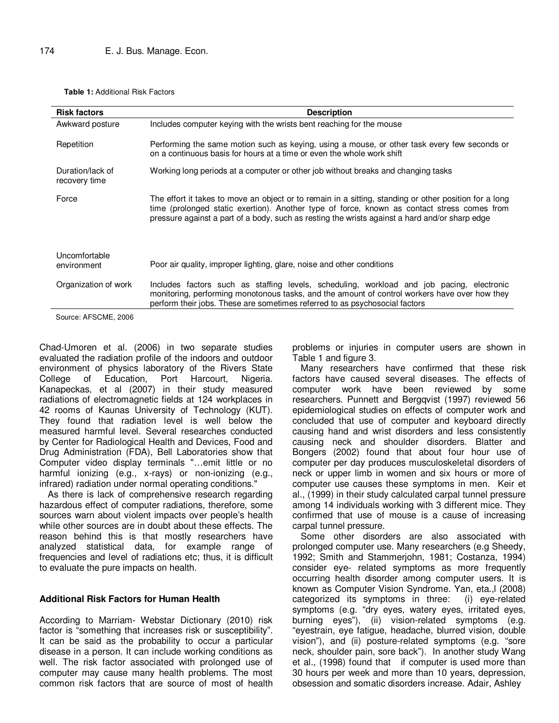**Table 1:** Additional Risk Factors

| <b>Risk factors</b>               | <b>Description</b>                                                                                                                                                                                                                                                                                      |  |  |
|-----------------------------------|---------------------------------------------------------------------------------------------------------------------------------------------------------------------------------------------------------------------------------------------------------------------------------------------------------|--|--|
| Awkward posture                   | Includes computer keying with the wrists bent reaching for the mouse                                                                                                                                                                                                                                    |  |  |
| Repetition                        | Performing the same motion such as keying, using a mouse, or other task every few seconds or<br>on a continuous basis for hours at a time or even the whole work shift                                                                                                                                  |  |  |
| Duration/lack of<br>recovery time | Working long periods at a computer or other job without breaks and changing tasks                                                                                                                                                                                                                       |  |  |
| Force                             | The effort it takes to move an object or to remain in a sitting, standing or other position for a long<br>time (prolonged static exertion). Another type of force, known as contact stress comes from<br>pressure against a part of a body, such as resting the wrists against a hard and/or sharp edge |  |  |
| Uncomfortable<br>environment      | Poor air quality, improper lighting, glare, noise and other conditions                                                                                                                                                                                                                                  |  |  |
| Organization of work              | Includes factors such as staffing levels, scheduling, workload and job pacing, electronic<br>monitoring, performing monotonous tasks, and the amount of control workers have over how they<br>perform their jobs. These are sometimes referred to as psychosocial factors                               |  |  |
| Source: AFSCME, 2006              |                                                                                                                                                                                                                                                                                                         |  |  |

Chad-Umoren et al. (2006) in two separate studies evaluated the radiation profile of the indoors and outdoor environment of physics laboratory of the Rivers State College of Education, Port Harcourt, Nigeria. Kanapeckas, et al (2007) in their study measured radiations of electromagnetic fields at 124 workplaces in 42 rooms of Kaunas University of Technology (KUT). They found that radiation level is well below the measured harmful level. Several researches conducted by Center for Radiological Health and Devices, Food and Drug Administration (FDA), Bell Laboratories show that Computer video display terminals "…emit little or no harmful ionizing (e.g., x-rays) or non-ionizing (e.g., infrared) radiation under normal operating conditions."

As there is lack of comprehensive research regarding hazardous effect of computer radiations, therefore, some sources warn about violent impacts over people's health while other sources are in doubt about these effects. The reason behind this is that mostly researchers have analyzed statistical data, for example range of frequencies and level of radiations etc; thus, it is difficult to evaluate the pure impacts on health.

# **Additional Risk Factors for Human Health**

According to Marriam- Webstar Dictionary (2010) risk factor is "something that increases risk or susceptibility". It can be said as the probability to occur a particular disease in a person. It can include working conditions as well. The risk factor associated with prolonged use of computer may cause many health problems. The most common risk factors that are source of most of health

problems or injuries in computer users are shown in Table 1 and figure 3.

Many researchers have confirmed that these risk factors have caused several diseases. The effects of computer work have been reviewed by some researchers. Punnett and Bergqvist (1997) reviewed 56 epidemiological studies on effects of computer work and concluded that use of computer and keyboard directly causing hand and wrist disorders and less consistently causing neck and shoulder disorders. Blatter and Bongers (2002) found that about four hour use of computer per day produces musculoskeletal disorders of neck or upper limb in women and six hours or more of computer use causes these symptoms in men. Keir et al., (1999) in their study calculated carpal tunnel pressure among 14 individuals working with 3 different mice. They confirmed that use of mouse is a cause of increasing carpal tunnel pressure.

Some other disorders are also associated with prolonged computer use. Many researchers (e.g Sheedy, 1992; Smith and Stammerjohn, 1981; Costanza, 1994) consider eye- related symptoms as more frequently occurring health disorder among computer users. It is known as Computer Vision Syndrome. Yan, eta.,l (2008) categorized its symptoms in three: (i) eye-related symptoms (e.g. "dry eyes, watery eyes, irritated eyes, burning eyes"), (ii) vision-related symptoms (e.g. "eyestrain, eye fatigue, headache, blurred vision, double vision"), and (ii) posture-related symptoms (e.g. "sore neck, shoulder pain, sore back"). In another study Wang et al., (1998) found that if computer is used more than 30 hours per week and more than 10 years, depression, obsession and somatic disorders increase. Adair, Ashley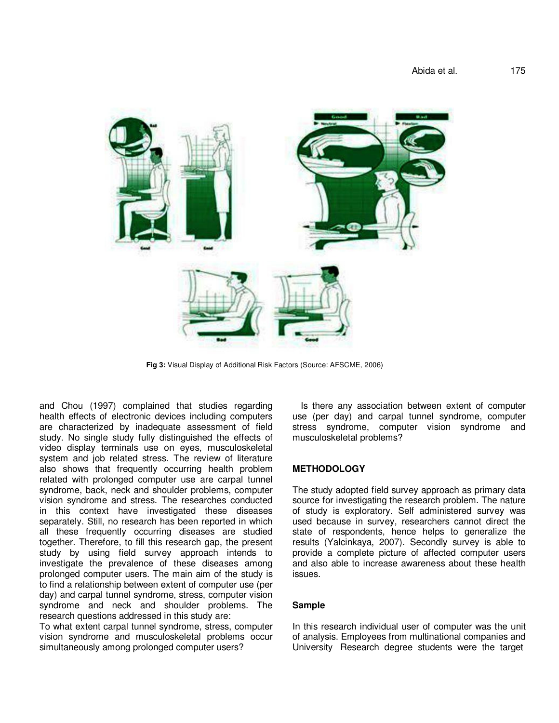

**Fig 3:** Visual Display of Additional Risk Factors (Source: AFSCME, 2006)

and Chou (1997) complained that studies regarding health effects of electronic devices including computers are characterized by inadequate assessment of field study. No single study fully distinguished the effects of video display terminals use on eyes, musculoskeletal system and job related stress. The review of literature also shows that frequently occurring health problem related with prolonged computer use are carpal tunnel syndrome, back, neck and shoulder problems, computer vision syndrome and stress. The researches conducted in this context have investigated these diseases separately. Still, no research has been reported in which all these frequently occurring diseases are studied together. Therefore, to fill this research gap, the present study by using field survey approach intends to investigate the prevalence of these diseases among prolonged computer users. The main aim of the study is to find a relationship between extent of computer use (per day) and carpal tunnel syndrome, stress, computer vision syndrome and neck and shoulder problems. The research questions addressed in this study are:

To what extent carpal tunnel syndrome, stress, computer vision syndrome and musculoskeletal problems occur simultaneously among prolonged computer users?

Is there any association between extent of computer use (per day) and carpal tunnel syndrome, computer stress syndrome, computer vision syndrome and musculoskeletal problems?

#### **METHODOLOGY**

The study adopted field survey approach as primary data source for investigating the research problem. The nature of study is exploratory. Self administered survey was used because in survey, researchers cannot direct the state of respondents, hence helps to generalize the results (Yalcinkaya, 2007). Secondly survey is able to provide a complete picture of affected computer users and also able to increase awareness about these health issues.

#### **Sample**

In this research individual user of computer was the unit of analysis. Employees from multinational companies and University Research degree students were the target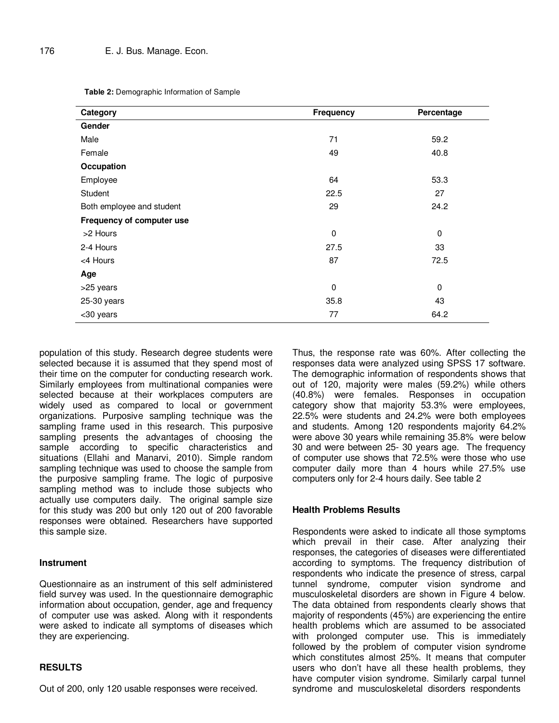**Table 2:** Demographic Information of Sample

| Category                  | Frequency   | Percentage  |
|---------------------------|-------------|-------------|
| Gender                    |             |             |
| Male                      | 71          | 59.2        |
| Female                    | 49          | 40.8        |
| Occupation                |             |             |
| Employee                  | 64          | 53.3        |
| Student                   | 22.5        | 27          |
| Both employee and student | 29          | 24.2        |
| Frequency of computer use |             |             |
| >2 Hours                  | 0           | 0           |
| 2-4 Hours                 | 27.5        | 33          |
| <4 Hours                  | 87          | 72.5        |
| Age                       |             |             |
| >25 years                 | $\mathbf 0$ | $\mathbf 0$ |
| 25-30 years               | 35.8        | 43          |
| <30 years                 | 77          | 64.2        |

population of this study. Research degree students were selected because it is assumed that they spend most of their time on the computer for conducting research work. Similarly employees from multinational companies were selected because at their workplaces computers are widely used as compared to local or government organizations. Purposive sampling technique was the sampling frame used in this research. This purposive sampling presents the advantages of choosing the sample according to specific characteristics and situations (Ellahi and Manarvi, 2010). Simple random sampling technique was used to choose the sample from the purposive sampling frame. The logic of purposive sampling method was to include those subjects who actually use computers daily. The original sample size for this study was 200 but only 120 out of 200 favorable responses were obtained. Researchers have supported this sample size.

### **Instrument**

Questionnaire as an instrument of this self administered field survey was used. In the questionnaire demographic information about occupation, gender, age and frequency of computer use was asked. Along with it respondents were asked to indicate all symptoms of diseases which they are experiencing.

# **RESULTS**

Out of 200, only 120 usable responses were received.

Thus, the response rate was 60%. After collecting the responses data were analyzed using SPSS 17 software. The demographic information of respondents shows that out of 120, majority were males (59.2%) while others (40.8%) were females. Responses in occupation category show that majority 53.3% were employees, 22.5% were students and 24.2% were both employees and students. Among 120 respondents majority 64.2% were above 30 years while remaining 35.8% were below 30 and were between 25- 30 years age. The frequency of computer use shows that 72.5% were those who use computer daily more than 4 hours while 27.5% use computers only for 2-4 hours daily. See table 2

### **Health Problems Results**

Respondents were asked to indicate all those symptoms which prevail in their case. After analyzing their responses, the categories of diseases were differentiated according to symptoms. The frequency distribution of respondents who indicate the presence of stress, carpal tunnel syndrome, computer vision syndrome and musculoskeletal disorders are shown in Figure 4 below. The data obtained from respondents clearly shows that majority of respondents (45%) are experiencing the entire health problems which are assumed to be associated with prolonged computer use. This is immediately followed by the problem of computer vision syndrome which constitutes almost 25%. It means that computer users who don't have all these health problems, they have computer vision syndrome. Similarly carpal tunnel syndrome and musculoskeletal disorders respondents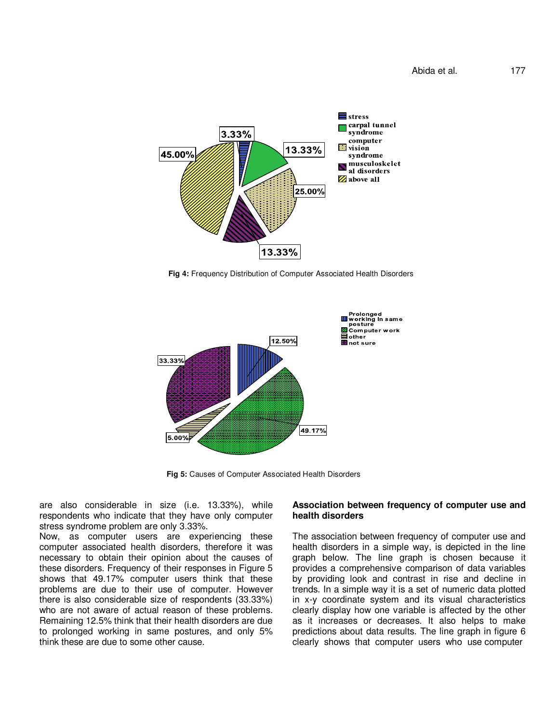

**Fig 4:** Frequency Distribution of Computer Associated Health Disorders



**Fig 5:** Causes of Computer Associated Health Disorders

are also considerable in size (i.e. 13.33%), while respondents who indicate that they have only computer stress syndrome problem are only 3.33%.

Now, as computer users are experiencing these computer associated health disorders, therefore it was necessary to obtain their opinion about the causes of these disorders. Frequency of their responses in Figure 5 shows that 49.17% computer users think that these problems are due to their use of computer. However there is also considerable size of respondents (33.33%) who are not aware of actual reason of these problems. Remaining 12.5% think that their health disorders are due to prolonged working in same postures, and only 5% think these are due to some other cause.

#### **Association between frequency of computer use and health disorders**

The association between frequency of computer use and health disorders in a simple way, is depicted in the line graph below. The line graph is chosen because it provides a comprehensive comparison of data variables by providing look and contrast in rise and decline in trends. In a simple way it is a set of numeric data plotted in x-y coordinate system and its visual characteristics clearly display how one variable is affected by the other as it increases or decreases. It also helps to make predictions about data results. The line graph in figure 6 clearly shows that computer users who use computer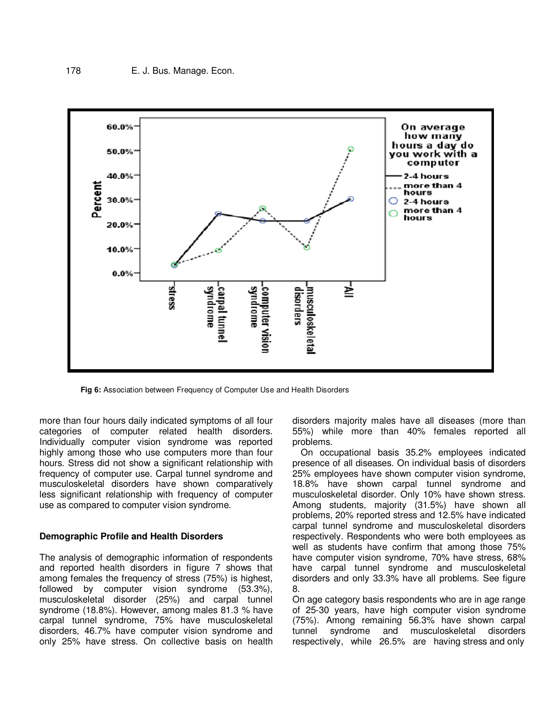

**Fig 6:** Association between Frequency of Computer Use and Health Disorders

more than four hours daily indicated symptoms of all four categories of computer related health disorders. Individually computer vision syndrome was reported highly among those who use computers more than four hours. Stress did not show a significant relationship with frequency of computer use. Carpal tunnel syndrome and musculoskeletal disorders have shown comparatively less significant relationship with frequency of computer use as compared to computer vision syndrome.

#### **Demographic Profile and Health Disorders**

The analysis of demographic information of respondents and reported health disorders in figure 7 shows that among females the frequency of stress (75%) is highest, followed by computer vision syndrome (53.3%), musculoskeletal disorder (25%) and carpal tunnel syndrome (18.8%). However, among males 81.3 % have carpal tunnel syndrome, 75% have musculoskeletal disorders, 46.7% have computer vision syndrome and only 25% have stress. On collective basis on health

disorders majority males have all diseases (more than 55%) while more than 40% females reported all problems.

On occupational basis 35.2% employees indicated presence of all diseases. On individual basis of disorders 25% employees have shown computer vision syndrome, 18.8% have shown carpal tunnel syndrome and musculoskeletal disorder. Only 10% have shown stress. Among students, majority (31.5%) have shown all problems, 20% reported stress and 12.5% have indicated carpal tunnel syndrome and musculoskeletal disorders respectively. Respondents who were both employees as well as students have confirm that among those 75% have computer vision syndrome, 70% have stress, 68% have carpal tunnel syndrome and musculoskeletal disorders and only 33.3% have all problems. See figure 8.

On age category basis respondents who are in age range of 25-30 years, have high computer vision syndrome (75%). Among remaining 56.3% have shown carpal tunnel syndrome and musculoskeletal disorders respectively, while 26.5% are having stress and only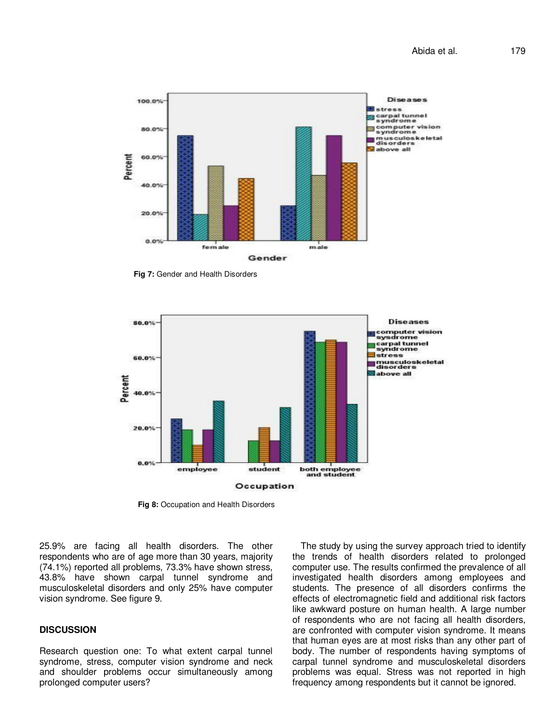

**Fig 7:** Gender and Health Disorders



**Fig 8:** Occupation and Health Disorders

25.9% are facing all health disorders. The other respondents who are of age more than 30 years, majority (74.1%) reported all problems, 73.3% have shown stress, 43.8% have shown carpal tunnel syndrome and musculoskeletal disorders and only 25% have computer vision syndrome. See figure 9.

#### **DISCUSSION**

Research question one: To what extent carpal tunnel syndrome, stress, computer vision syndrome and neck and shoulder problems occur simultaneously among prolonged computer users?

The study by using the survey approach tried to identify the trends of health disorders related to prolonged computer use. The results confirmed the prevalence of all investigated health disorders among employees and students. The presence of all disorders confirms the effects of electromagnetic field and additional risk factors like awkward posture on human health. A large number of respondents who are not facing all health disorders, are confronted with computer vision syndrome. It means that human eyes are at most risks than any other part of body. The number of respondents having symptoms of carpal tunnel syndrome and musculoskeletal disorders problems was equal. Stress was not reported in high frequency among respondents but it cannot be ignored.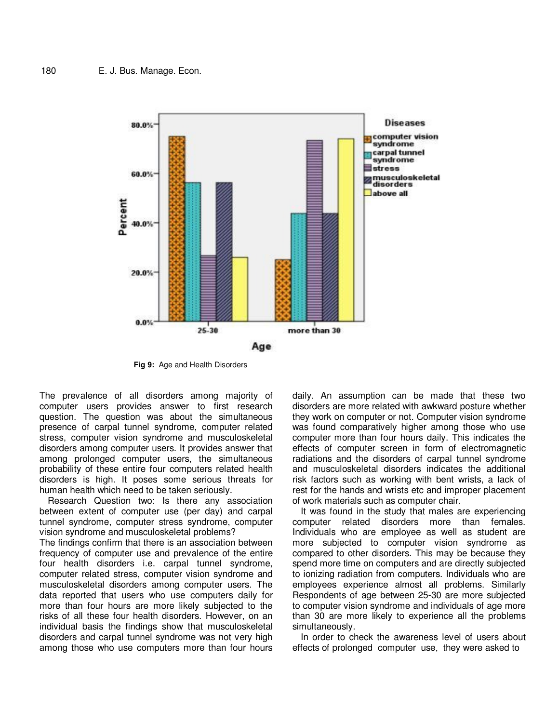

**Fig 9:** Age and Health Disorders

The prevalence of all disorders among majority of computer users provides answer to first research question. The question was about the simultaneous presence of carpal tunnel syndrome, computer related stress, computer vision syndrome and musculoskeletal disorders among computer users. It provides answer that among prolonged computer users, the simultaneous probability of these entire four computers related health disorders is high. It poses some serious threats for human health which need to be taken seriously.

Research Question two: Is there any association between extent of computer use (per day) and carpal tunnel syndrome, computer stress syndrome, computer vision syndrome and musculoskeletal problems?

The findings confirm that there is an association between frequency of computer use and prevalence of the entire four health disorders i.e. carpal tunnel syndrome, computer related stress, computer vision syndrome and musculoskeletal disorders among computer users. The data reported that users who use computers daily for more than four hours are more likely subjected to the risks of all these four health disorders. However, on an individual basis the findings show that musculoskeletal disorders and carpal tunnel syndrome was not very high among those who use computers more than four hours

daily. An assumption can be made that these two disorders are more related with awkward posture whether they work on computer or not. Computer vision syndrome was found comparatively higher among those who use computer more than four hours daily. This indicates the effects of computer screen in form of electromagnetic radiations and the disorders of carpal tunnel syndrome and musculoskeletal disorders indicates the additional risk factors such as working with bent wrists, a lack of rest for the hands and wrists etc and improper placement of work materials such as computer chair.

It was found in the study that males are experiencing computer related disorders more than females. Individuals who are employee as well as student are more subjected to computer vision syndrome as compared to other disorders. This may be because they spend more time on computers and are directly subjected to ionizing radiation from computers. Individuals who are employees experience almost all problems. Similarly Respondents of age between 25-30 are more subjected to computer vision syndrome and individuals of age more than 30 are more likely to experience all the problems simultaneously.

In order to check the awareness level of users about effects of prolonged computer use, they were asked to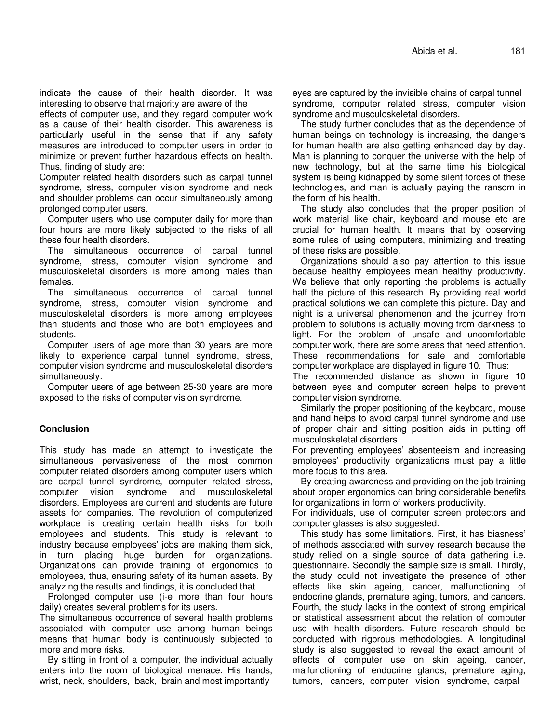indicate the cause of their health disorder. It was interesting to observe that majority are aware of the

effects of computer use, and they regard computer work as a cause of their health disorder. This awareness is particularly useful in the sense that if any safety measures are introduced to computer users in order to minimize or prevent further hazardous effects on health. Thus, finding of study are:

Computer related health disorders such as carpal tunnel syndrome, stress, computer vision syndrome and neck and shoulder problems can occur simultaneously among prolonged computer users.

Computer users who use computer daily for more than four hours are more likely subjected to the risks of all these four health disorders.

The simultaneous occurrence of carpal tunnel syndrome, stress, computer vision syndrome and musculoskeletal disorders is more among males than females.

The simultaneous occurrence of carpal tunnel syndrome, stress, computer vision syndrome and musculoskeletal disorders is more among employees than students and those who are both employees and students.

Computer users of age more than 30 years are more likely to experience carpal tunnel syndrome, stress, computer vision syndrome and musculoskeletal disorders simultaneously.

Computer users of age between 25-30 years are more exposed to the risks of computer vision syndrome.

### **Conclusion**

This study has made an attempt to investigate the simultaneous pervasiveness of the most common computer related disorders among computer users which are carpal tunnel syndrome, computer related stress, computer vision syndrome and musculoskeletal disorders. Employees are current and students are future assets for companies. The revolution of computerized workplace is creating certain health risks for both employees and students. This study is relevant to industry because employees' jobs are making them sick, in turn placing huge burden for organizations. Organizations can provide training of ergonomics to employees, thus, ensuring safety of its human assets. By analyzing the results and findings, it is concluded that

Prolonged computer use (i-e more than four hours daily) creates several problems for its users.

The simultaneous occurrence of several health problems associated with computer use among human beings means that human body is continuously subjected to more and more risks.

By sitting in front of a computer, the individual actually enters into the room of biological menace. His hands, wrist, neck, shoulders, back, brain and most importantly

eyes are captured by the invisible chains of carpal tunnel syndrome, computer related stress, computer vision syndrome and musculoskeletal disorders.

The study further concludes that as the dependence of human beings on technology is increasing, the dangers for human health are also getting enhanced day by day. Man is planning to conquer the universe with the help of new technology, but at the same time his biological system is being kidnapped by some silent forces of these technologies, and man is actually paying the ransom in the form of his health.

The study also concludes that the proper position of work material like chair, keyboard and mouse etc are crucial for human health. It means that by observing some rules of using computers, minimizing and treating of these risks are possible.

Organizations should also pay attention to this issue because healthy employees mean healthy productivity. We believe that only reporting the problems is actually half the picture of this research. By providing real world practical solutions we can complete this picture. Day and night is a universal phenomenon and the journey from problem to solutions is actually moving from darkness to light. For the problem of unsafe and uncomfortable computer work, there are some areas that need attention. These recommendations for safe and comfortable computer workplace are displayed in figure 10. Thus:

The recommended distance as shown in figure 10 between eyes and computer screen helps to prevent computer vision syndrome.

Similarly the proper positioning of the keyboard, mouse and hand helps to avoid carpal tunnel syndrome and use of proper chair and sitting position aids in putting off musculoskeletal disorders.

For preventing employees' absenteeism and increasing employees' productivity organizations must pay a little more focus to this area.

By creating awareness and providing on the job training about proper ergonomics can bring considerable benefits for organizations in form of workers productivity.

For individuals, use of computer screen protectors and computer glasses is also suggested.

This study has some limitations. First, it has biasness' of methods associated with survey research because the study relied on a single source of data gathering i.e. questionnaire. Secondly the sample size is small. Thirdly, the study could not investigate the presence of other effects like skin ageing, cancer, malfunctioning of endocrine glands, premature aging, tumors, and cancers. Fourth, the study lacks in the context of strong empirical or statistical assessment about the relation of computer use with health disorders. Future research should be conducted with rigorous methodologies. A longitudinal study is also suggested to reveal the exact amount of effects of computer use on skin ageing, cancer, malfunctioning of endocrine glands, premature aging, tumors, cancers, computer vision syndrome, carpal